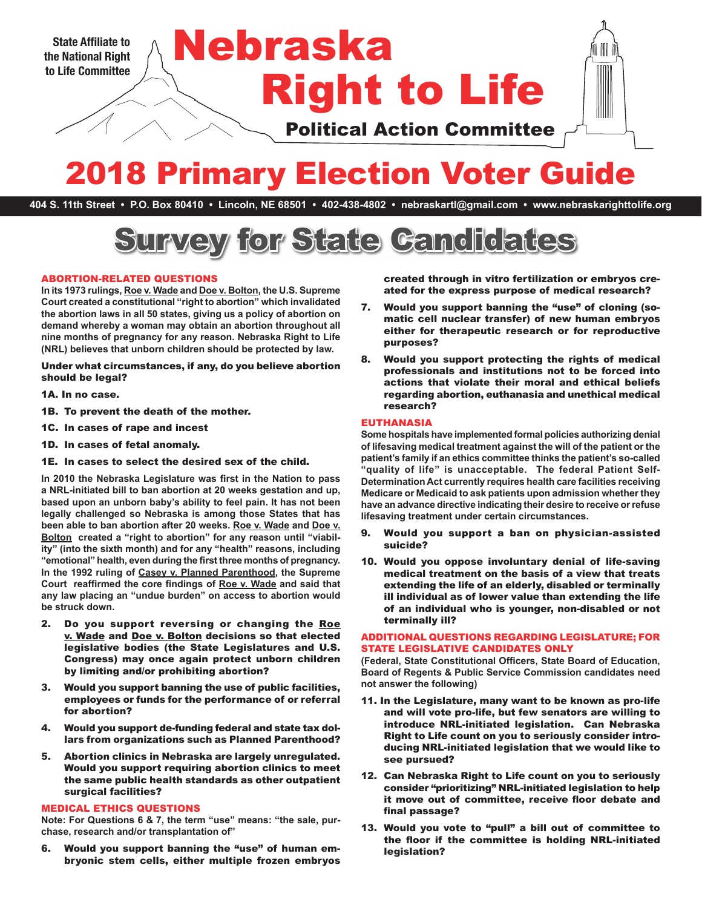

# 2018 Primary Election Voter Guide

**404 S. 11th Street • P.O. Box 80410 • Lincoln, NE 68501 • 402-438-4802 • nebraskartl@gmail.com • www.nebraskarighttolife.org**



## ABORTION-RELATED QUESTIONS

**In its 1973 rulings, Roe v. Wade and Doe v. Bolton, the U.S. Supreme Court created a constitutional "right to abortion" which invalidated the abortion laws in all 50 states, giving us a policy of abortion on demand whereby a woman may obtain an abortion throughout all nine months of pregnancy for any reason. Nebraska Right to Life (NRL) believes that unborn children should be protected by law.** 

Under what circumstances, if any, do you believe abortion should be legal?

- 1A. In no case.
- 1B. To prevent the death of the mother.
- 1C. In cases of rape and incest
- 1D. In cases of fetal anomaly.

1E. In cases to select the desired sex of the child.

**In 2010 the Nebraska Legislature was first in the Nation to pass a NRL-initiated bill to ban abortion at 20 weeks gestation and up, based upon an unborn baby's ability to feel pain. It has not been legally challenged so Nebraska is among those States that has been able to ban abortion after 20 weeks. Roe v. Wade and Doe v.**  Bolton created a "right to abortion" for any reason until "viabil**ity" (into the sixth month) and for any "health" reasons, including "emotional" health, even during the first three months of pregnancy. In the 1992 ruling of Casey v. Planned Parenthood, the Supreme Court reaffirmed the core findings of Roe v. Wade and said that any law placing an "undue burden" on access to abortion would be struck down.**

- 2. Do you support reversing or changing the Roe v. Wade and Doe v. Bolton decisions so that elected legislative bodies (the State Legislatures and U.S. Congress) may once again protect unborn children by limiting and/or prohibiting abortion?
- 3. Would you support banning the use of public facilities, employees or funds for the performance of or referral for abortion?
- 4. Would you support de-funding federal and state tax dollars from organizations such as Planned Parenthood?
- 5. Abortion clinics in Nebraska are largely unregulated. Would you support requiring abortion clinics to meet the same public health standards as other outpatient surgical facilities?

## MEDICAL ETHICS QUESTIONS

**Note: For Questions 6 & 7, the term "use" means: "the sale, purchase, research and/or transplantation of"**

6. Would you support banning the "use" of human embryonic stem cells, either multiple frozen embryos created through in vitro fertilization or embryos created for the express purpose of medical research?

- 7. Would you support banning the "use" of cloning (somatic cell nuclear transfer) of new human embryos either for therapeutic research or for reproductive purposes?
- 8. Would you support protecting the rights of medical professionals and institutions not to be forced into actions that violate their moral and ethical beliefs regarding abortion, euthanasia and unethical medical research?

#### EUTHANASIA

**Some hospitals have implemented formal policies authorizing denial of lifesaving medical treatment against the will of the patient or the patient's family if an ethics committee thinks the patient's so-called "quality of life" is unacceptable. The federal Patient Self-Determination Act currently requires health care facilities receiving Medicare or Medicaid to ask patients upon admission whether they have an advance directive indicating their desire to receive or refuse lifesaving treatment under certain circumstances.** 

- 9. Would you support a ban on physician-assisted suicide?
- 10. Would you oppose involuntary denial of life-saving medical treatment on the basis of a view that treats extending the life of an elderly, disabled or terminally ill individual as of lower value than extending the life of an individual who is younger, non-disabled or not terminally ill?

## ADDITIONAL QUESTIONS REGARDING LEGISLATURE; FOR STATE LEGISLATIVE CANDIDATES ONLY

**(Federal, State Constitutional Officers, State Board of Education, Board of Regents & Public Service Commission candidates need not answer the following)**

- 11. In the Legislature, many want to be known as pro-life and will vote pro-life, but few senators are willing to introduce NRL-initiated legislation. Can Nebraska Right to Life count on you to seriously consider introducing NRL-initiated legislation that we would like to see pursued?
- 12. Can Nebraska Right to Life count on you to seriously consider "prioritizing" NRL-initiated legislation to help it move out of committee, receive floor debate and final passage?
- 13. Would you vote to "pull" a bill out of committee to the floor if the committee is holding NRL-initiated legislation?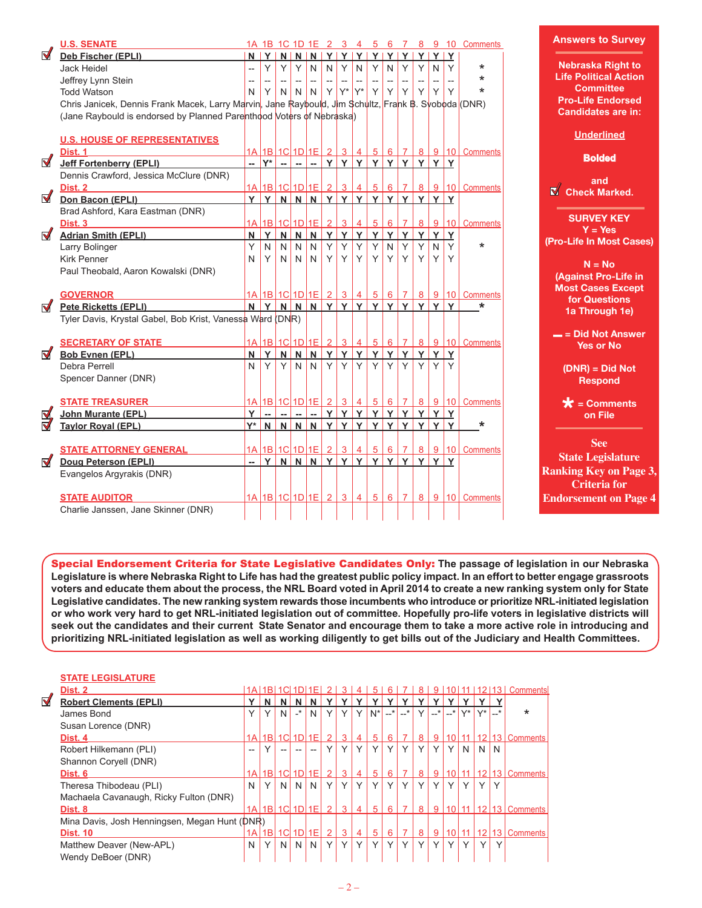|                     | <b>U.S. SENATE</b>                                                                                  |                          |                                    |                          |                          |                                                     |              |                |                                     |                |                |                              |    |        |        | 1A 1B 1C 1D 1E 2 3 4 5 6 7 8 9 10 Comments            | Answer                       |
|---------------------|-----------------------------------------------------------------------------------------------------|--------------------------|------------------------------------|--------------------------|--------------------------|-----------------------------------------------------|--------------|----------------|-------------------------------------|----------------|----------------|------------------------------|----|--------|--------|-------------------------------------------------------|------------------------------|
| M                   | Deb Fischer (EPLI)                                                                                  |                          | $N$ $Y$                            |                          |                          |                                                     |              |                | $N$ $N$ $N$ $Y$ $Y$ $Y$ $Y$ $Y$ $Y$ |                |                |                              | Y  |        | YY     |                                                       |                              |
|                     | Jack Heidel                                                                                         | $\overline{\phantom{a}}$ | Y                                  | Y                        | Y                        | $\mathsf{N}$                                        | $\mathsf{N}$ | Y              | $\mathsf{N}$                        | Y              | $\mathsf{N}$   | Y                            | Y  | N      | Υ      | $\star$                                               | <b>Nebras</b>                |
|                     | Jeffrey Lynn Stein                                                                                  | $\overline{\phantom{a}}$ | $\overline{\phantom{a}}$           | $\overline{\phantom{a}}$ | $\overline{\phantom{a}}$ | $\hspace{0.05cm} -\hspace{0.05cm} -\hspace{0.05cm}$ |              |                |                                     |                |                |                              |    |        |        | $\star$                                               | <b>Life Pol</b>              |
|                     | <b>Todd Watson</b>                                                                                  | N                        | Y                                  | N                        | $N$ $N$                  |                                                     | Y            | $Y^*$          | $Y^*$                               | Y              | $Y \mid$       | Y.                           | Y  | Y      | Y      | $\star$                                               | Co                           |
|                     | Chris Janicek, Dennis Frank Macek, Larry Marvin, Jane Raybould, Jim Schultz, Frank B. Syoboda (DNR) |                          |                                    |                          |                          |                                                     |              |                |                                     |                |                |                              |    |        |        |                                                       | <b>Pro-Lif</b>               |
|                     | (Jane Raybould is endorsed by Planned Parenthood Voters of Nebraska)                                |                          |                                    |                          |                          |                                                     |              |                |                                     |                |                |                              |    |        |        |                                                       | <b>Candic</b>                |
|                     |                                                                                                     |                          |                                    |                          |                          |                                                     |              |                |                                     |                |                |                              |    |        |        |                                                       |                              |
|                     | <b>U.S. HOUSE OF REPRESENTATIVES</b>                                                                |                          |                                    |                          |                          |                                                     |              |                |                                     |                |                |                              |    |        |        |                                                       | $Un$                         |
|                     | Dist. 1                                                                                             |                          | $1A$  1B 1C 1D 1E  2   3           |                          |                          |                                                     |              |                | $\overline{4}$                      |                | 5 6            | 7 <sup>1</sup>               |    |        |        | 8 9 10 Comments                                       |                              |
| $\blacksquare$      | <b>Jeff Fortenberry (EPLI)</b>                                                                      | -- 1                     |                                    |                          |                          |                                                     |              |                |                                     |                |                |                              |    |        |        |                                                       | Е                            |
|                     | Dennis Crawford, Jessica McClure (DNR)                                                              |                          |                                    |                          |                          |                                                     |              |                |                                     |                |                |                              |    |        |        |                                                       |                              |
|                     | Dist. 2                                                                                             |                          | 1A 1B 1C 1D 1E 2                   |                          |                          |                                                     |              | 3 <sup>1</sup> | $\overline{4}$                      | 5 <sup>1</sup> | 6 <sup>1</sup> | 7 <sup>1</sup>               |    |        |        | 8 9 10 Comments                                       | $\overline{\mathbb{N}}$ Chec |
| $\blacksquare$      | Don Bacon (EPLI)                                                                                    | Y                        |                                    |                          |                          |                                                     |              |                | Y N N N Y Y Y                       |                |                | <u>  Y   Y   Y   Y   Y  </u> |    |        |        |                                                       |                              |
|                     | Brad Ashford, Kara Eastman (DNR)                                                                    |                          |                                    |                          |                          |                                                     |              |                |                                     |                |                |                              |    |        |        |                                                       |                              |
|                     | Dist. 3                                                                                             |                          | <u>1A 1B 1C 1D 1E 2  </u>          |                          |                          |                                                     |              | $\overline{3}$ | $\overline{4}$                      | 5 <sup>1</sup> | $6 \mid$       | 7 <sup>1</sup>               |    |        | 8 9 10 | Comments                                              | <b>SUR</b>                   |
| M                   | <b>Adrian Smith (EPLI)</b>                                                                          | N                        | Y                                  |                          |                          | NNNYY                                               |              |                | Y                                   |                |                | YYY                          | Y  | YY     |        |                                                       | Y                            |
|                     | Larry Bolinger                                                                                      | Y                        | N                                  | N                        | N                        | N                                                   | Y            | Y              | Y                                   | Y              | N              | Y                            | Y  | N.     | Y      | $\star$                                               | (Pro-Life I                  |
|                     | <b>Kirk Penner</b>                                                                                  | N                        | Y                                  | $\mathsf{N}$             |                          | $N$ $N$                                             | $Y \mid$     | Y              | Y                                   | Y              | $Y \mid$       | Y.                           | Y. | Y      | Y      |                                                       |                              |
|                     | Paul Theobald, Aaron Kowalski (DNR)                                                                 |                          |                                    |                          |                          |                                                     |              |                |                                     |                |                |                              |    |        |        |                                                       | N                            |
|                     |                                                                                                     |                          |                                    |                          |                          |                                                     |              |                |                                     |                |                |                              |    |        |        |                                                       | <b>(Agains</b>               |
|                     | <b>GOVERNOR</b>                                                                                     |                          | 1A 1B 1C 1D 1E 2 3 4               |                          |                          |                                                     |              |                |                                     |                |                | 5 6 7                        |    |        |        | 8 9 10 Comments                                       | <b>Most C</b><br>for C       |
| $\blacksquare$      | <b>Pete Ricketts (EPLI)</b>                                                                         |                          |                                    |                          |                          |                                                     |              |                | N Y N N N Y Y Y Y Y Y Y Y Y Y Y     |                |                |                              |    |        |        | *                                                     | 1a Th                        |
|                     | Tyler Davis, Krystal Gabel, Bob Krist, Vanessa Ward (DNR)                                           |                          |                                    |                          |                          |                                                     |              |                |                                     |                |                |                              |    |        |        |                                                       |                              |
|                     |                                                                                                     |                          |                                    |                          |                          |                                                     |              |                |                                     |                |                |                              |    |        |        |                                                       | $=$ = Did                    |
|                     | <b>SECRETARY OF STATE</b>                                                                           |                          |                                    |                          |                          |                                                     |              |                | 1A 1B 1C 1D 1E 2 3 4                |                |                |                              |    |        |        | $5 6 7 8 9 10 $ Comments                              | Ye                           |
| M                   | <b>Bob Evnen (EPL)</b>                                                                              | $\mathsf{N}$             | Y                                  |                          |                          | NNNYY                                               |              |                | Y                                   |                | YY             | $Y \mid$                     | Y  | Y      | Y      |                                                       |                              |
|                     | Debra Perrell                                                                                       | N.                       | Y                                  | Y                        |                          | N N                                                 | Y            | Y              | Y                                   | Y <sub>1</sub> | Y              | Y                            | Y  | $\vee$ |        |                                                       | (DNR)                        |
|                     | Spencer Danner (DNR)                                                                                |                          |                                    |                          |                          |                                                     |              |                |                                     |                |                |                              |    |        |        |                                                       | Re                           |
|                     |                                                                                                     |                          |                                    |                          |                          |                                                     |              |                |                                     |                |                |                              |    |        |        |                                                       |                              |
|                     | <b>STATE TREASURER</b>                                                                              |                          | 1A   1B   1C   1D   1E   2   3   4 |                          |                          |                                                     |              |                |                                     |                |                |                              |    |        |        | $5 \mid 6 \mid 7 \mid 8 \mid 9 \mid 10 \mid$ Comments | $\bigstar = 0$               |
| V,                  | <b>John Murante (EPL)</b>                                                                           | Y                        | $\sim$                             |                          |                          |                                                     |              |                |                                     |                |                |                              |    |        |        |                                                       | o                            |
| $\overline{\nabla}$ | <b>Taylor Royal (EPL)</b>                                                                           |                          |                                    |                          |                          |                                                     |              |                | $Y^*$ N N N N Y Y Y                 |                |                | YYY                          |    | YYY    |        | *                                                     |                              |
|                     |                                                                                                     |                          |                                    |                          |                          |                                                     |              |                |                                     |                |                |                              |    |        |        |                                                       |                              |
|                     | <b>STATE ATTORNEY GENERAL</b>                                                                       |                          | 1A 1B 1C 1D 1E 23                  |                          |                          |                                                     |              |                | $\overline{4}$                      |                |                | $567$                        |    |        |        | 8 9 10 Comments                                       |                              |
| $\blacksquare$      | Doug Peterson (EPLI)                                                                                | - 1                      |                                    |                          |                          |                                                     |              |                | Y N N N Y Y Y Y Y Y Y Y Y           |                |                |                              |    |        |        |                                                       | <b>State</b> I               |
|                     | Evangelos Argyrakis (DNR)                                                                           |                          |                                    |                          |                          |                                                     |              |                |                                     |                |                |                              |    |        |        |                                                       | <b>Ranking I</b>             |
|                     |                                                                                                     |                          |                                    |                          |                          |                                                     |              |                |                                     |                |                |                              |    |        |        |                                                       | Cri                          |
|                     | <b>STATE AUDITOR</b>                                                                                |                          | $1A$  1B 1C 1D 1E  2   3           |                          |                          |                                                     |              |                | $\overline{4}$                      |                |                |                              |    |        |        | 5 6 7 8 9 10 Comments                                 | <b>Endorsen</b>              |
|                     | Charlie Janssen, Jane Skinner (DNR)                                                                 |                          |                                    |                          |                          |                                                     |              |                |                                     |                |                |                              |    |        |        |                                                       |                              |
|                     |                                                                                                     |                          |                                    |                          |                          |                                                     |              |                |                                     |                |                |                              |    |        |        |                                                       |                              |

**As to Survey** 

**Ka Right to Litical Action Committee Pro-**e Endorsed **Cates are in:** 

**Underlined**

**Bolded** 

**and k** Marked.

**VEY KEY Y = Yes (n Most Cases)** 

**N = No (Against Pro-Life in Most Cases Except for Questions 1** Trough 1e)

**Not Answer Yes or No** 

> $=$  Did Not **Respond**

 **= Comments on File**

**See State Legislature Ranking Key on Page 3, Criteria for E**nd on Page 4

Special Endorsement Criteria for State Legislative Candidates Only: **The passage of legislation in our Nebraska Legislature is where Nebraska Right to Life has had the greatest public policy impact. In an effort to better engage grassroots voters and educate them about the process, the NRL Board voted in April 2014 to create a new ranking system only for State Legislative candidates. The new ranking system rewards those incumbents who introduce or prioritize NRL-initiated legislation or who work very hard to get NRL-initiated legislation out of committee. Hopefully pro-life voters in legislative districts will seek out the candidates and their current State Senator and encourage them to take a more active role in introducing and prioritizing NRL-initiated legislation as well as working diligently to get bills out of the Judiciary and Health Committees.**

## **STATE LEGISLATURE**

| Dist. 2                                |              |              |                                                                                                  |                                 | F                                                                         |                                                | З            |              | 5            |   |              |                     |                               |                 |              |              | 13.          | Comments                                                                              |
|----------------------------------------|--------------|--------------|--------------------------------------------------------------------------------------------------|---------------------------------|---------------------------------------------------------------------------|------------------------------------------------|--------------|--------------|--------------|---|--------------|---------------------|-------------------------------|-----------------|--------------|--------------|--------------|---------------------------------------------------------------------------------------|
| <b>Robert Clements (EPLI)</b>          | ν            | N            |                                                                                                  | N                               | N                                                                         |                                                |              |              |              |   |              |                     | v                             | v               |              |              |              |                                                                                       |
| James Bond                             | $\checkmark$ | Υ            | N                                                                                                | $\cdot^*$                       | N                                                                         | $\checkmark$                                   | $\checkmark$ | Υ            | $N^*$        |   |              |                     |                               |                 |              | $V^*$        |              | $\star$                                                                               |
| Susan Lorence (DNR)                    |              |              |                                                                                                  |                                 |                                                                           |                                                |              |              |              |   |              |                     |                               |                 |              |              |              |                                                                                       |
| Dist. 4                                |              |              |                                                                                                  |                                 | 1E                                                                        | 2                                              | 3            | 4            | 5            | 6 |              | 8                   | 9                             | 10 <sup>1</sup> | 11           |              |              | 13   Comments                                                                         |
| Robert Hilkemann (PLI)                 | $- -$        | $\checkmark$ |                                                                                                  |                                 |                                                                           | v                                              |              | Y            | Υ            | Υ | Y            |                     | Y                             | Υ               | N            |              | N            |                                                                                       |
| Shannon Coryell (DNR)                  |              |              |                                                                                                  |                                 |                                                                           |                                                |              |              |              |   |              |                     |                               |                 |              |              |              |                                                                                       |
| Dist. 6                                |              |              |                                                                                                  |                                 | 1E                                                                        | 2                                              | 3            | 4            | 5            | 6 |              | 8                   | 9                             | 10 <sup>1</sup> | 11           |              |              | 13   Comments                                                                         |
| Theresa Thibodeau (PLI)                | N            | Υ            |                                                                                                  | N                               | N                                                                         | Y                                              | $\checkmark$ | $\checkmark$ | $\vee$       | Y | $\checkmark$ | $\checkmark$        | $\checkmark$                  | $\checkmark$    | $\checkmark$ | $\vee$       | $\checkmark$ |                                                                                       |
| Machaela Cavanaugh, Ricky Fulton (DNR) |              |              |                                                                                                  |                                 |                                                                           |                                                |              |              |              |   |              |                     |                               |                 |              |              |              |                                                                                       |
| Dist. 8                                |              |              |                                                                                                  |                                 | 1E                                                                        | 2                                              | 3            | 4            | 5            | 6 |              | 8                   | 9                             | 10 <sup>1</sup> | 11           |              |              | 13   Comments                                                                         |
|                                        |              |              |                                                                                                  |                                 |                                                                           |                                                |              |              |              |   |              |                     |                               |                 |              |              |              |                                                                                       |
| <b>Dist. 10</b>                        |              |              |                                                                                                  |                                 | 1E                                                                        | 2                                              | 3            |              | 5            | 6 |              | 8                   | 9                             | 10              |              |              |              | <b>Comments</b>                                                                       |
| Matthew Deaver (New-APL)               | N            | Y            | N                                                                                                | N                               | N                                                                         | $\checkmark$                                   | $\checkmark$ | $\checkmark$ | $\checkmark$ | Y | $\checkmark$ | $\vee$              | $\checkmark$                  | $\checkmark$    | $\checkmark$ | $\checkmark$ | $\checkmark$ |                                                                                       |
| Wendy DeBoer (DNR)                     |              |              |                                                                                                  |                                 |                                                                           |                                                |              |              |              |   |              |                     |                               |                 |              |              |              |                                                                                       |
|                                        |              |              | 1A <sup>2</sup><br>1A <sup>2</sup><br>Mina Davis, Josh Henningsen, Megan Hunt (DNR)<br>1B<br>1A1 | $1A$ $1B$<br>1B<br>1A 1B <br>1B | 1 <sup>C</sup><br>1 <sup>CI</sup><br>N<br>1 <sup>C</sup><br>$1 \text{Cl}$ | 1 <sub>D</sub><br>1DI<br>1DI<br>1 <sub>D</sub> |              |              |              |   |              | $-$ * <sup>+1</sup> | $\left( -\frac{1}{2} \right)$ |                 | $-+1$        | __*          | $V^*$        | 12 <sup>1</sup><br>N<br>12 <sup>1</sup><br> 12 <br>12 <sup>1</sup><br>13 <sup>1</sup> |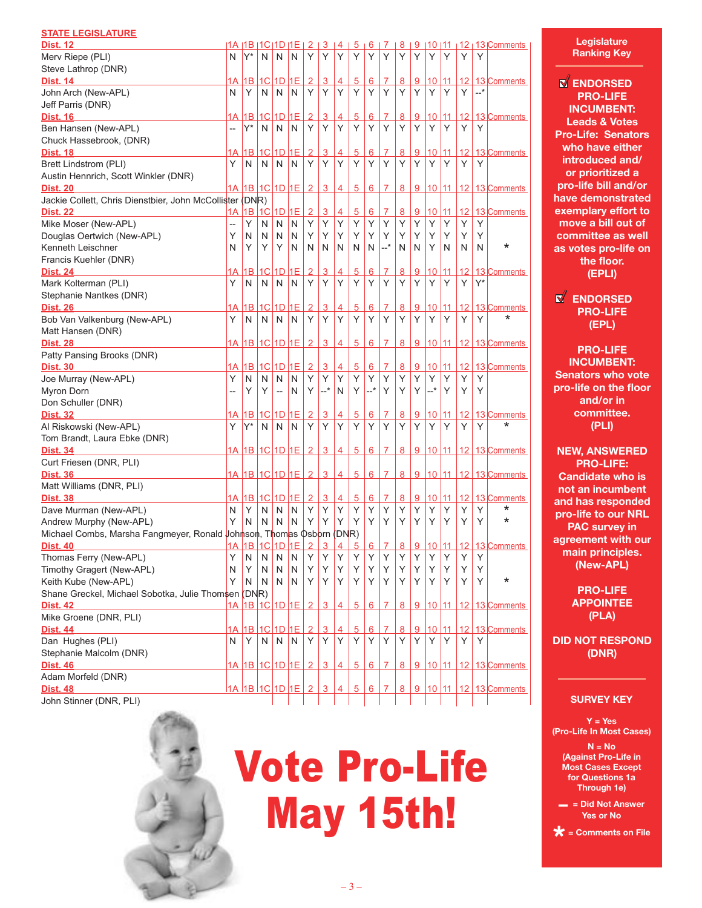|               | <b>STATE LEGISLATURE</b> |
|---------------|--------------------------|
| <b>PULLER</b> |                          |

| <u>Dist. 12</u>                                                      |                |                               |                |                          |             |                |                |                        |                 |                 |                |               |                |                       |    |                 |       |                          |
|----------------------------------------------------------------------|----------------|-------------------------------|----------------|--------------------------|-------------|----------------|----------------|------------------------|-----------------|-----------------|----------------|---------------|----------------|-----------------------|----|-----------------|-------|--------------------------|
|                                                                      | N              | 1A I1B I1C I1D I1E I<br>$Y^*$ |                |                          |             | 2<br>Y         | Υ              | $3 \mid 4 \mid 5$<br>Υ | Υ               | <u>6  </u><br>Υ | 7<br>Υ         | <u>8</u><br>Υ | 9<br>Υ         |                       |    |                 |       | $ 10 11 12 13 $ Comments |
| Merv Riepe (PLI)                                                     |                |                               | N              | N                        | N           |                |                |                        |                 |                 |                |               |                | Y                     | Υ  | Υ               | Υ     |                          |
| Steve Lathrop (DNR)                                                  |                |                               |                |                          |             |                |                |                        |                 |                 |                |               |                |                       |    |                 |       |                          |
| <b>Dist. 14</b>                                                      | 1А             |                               |                |                          | 1B 1C 1D 1E | $\overline{2}$ | 3              | 4                      | $\overline{5}$  | 6               | 7              | 8             | 9              | <u>10   11</u>        |    |                 |       | 12 13 Comments           |
| John Arch (New-APL)                                                  | N              | Υ                             | N              | N                        | N           | Υ              | Y              | Υ                      | Υ               | Υ               | Y              | Y             | Υ              | Υ                     | Y  | Y               | $-$ * |                          |
| Jeff Parris (DNR)                                                    |                |                               |                |                          |             |                |                |                        |                 |                 |                |               |                |                       |    |                 |       |                          |
| <b>Dist. 16</b>                                                      | 1А             |                               | $1B$ 1C        | 1D                       | 1E          | $\overline{2}$ | $\overline{3}$ | 4                      | $\overline{5}$  | 6               | $\overline{7}$ | 8             | 9              | 10                    | 11 | 12              |       | 13 Comments              |
| Ben Hansen (New-APL)                                                 | $\overline{a}$ | Y*                            | N              | N                        | N           | Y              | Y              | Υ                      | Υ               | Y               | Y              | Υ             | Υ              | Υ                     | Υ  | Υ               | Υ     |                          |
| Chuck Hassebrook, (DNR)                                              |                |                               |                |                          |             |                |                |                        |                 |                 |                |               |                |                       |    |                 |       |                          |
| <b>Dist. 18</b>                                                      | 1Α             |                               |                | 1B 1C 1D 1E              |             | $\overline{2}$ | $\overline{3}$ | 4                      | 5               | 6               | 7              | 8             | $\overline{9}$ | 10 11                 |    |                 |       | 12 13 Comments           |
| <b>Brett Lindstrom (PLI)</b>                                         | Y              | N                             | N              | N                        | N           | Υ              | Y              | Υ                      | Υ               | Υ               | Υ              | Υ             | Υ              | Υ                     | Υ  | Υ               | Υ     |                          |
| Austin Hennrich, Scott Winkler (DNR)                                 |                |                               |                |                          |             |                |                |                        |                 |                 |                |               |                |                       |    |                 |       |                          |
| <b>Dist. 20</b>                                                      | 1A             |                               |                |                          | 1B 1C 1D 1E | $\overline{2}$ | 3              | 4                      | 5               | 6               | 7              | 8             | 9              | 10 11                 |    | 12 <sup>°</sup> |       | 13 Comments              |
| Jackie Collett, Chris Dienstbier, John McCollister                   |                | (DNR)                         |                |                          |             |                |                |                        |                 |                 |                |               |                |                       |    |                 |       |                          |
| <b>Dist. 22</b>                                                      | 1Α             |                               | $1B$ 1C        | $1D$ $1E$                |             | $\overline{2}$ | 3              | 4                      | 5               | 6               | 7              | 8             | 9              | 10                    | 11 | 12 <sup>2</sup> |       | 13 Comments              |
| Mike Moser (New-APL)                                                 | --             | Υ                             | N              | N                        | N           | Υ              | Y              | Υ                      | Υ               | Υ               | Υ              | Y             | Υ              | Υ                     | Υ  | Υ               | Υ     |                          |
| Douglas Oertwich (New-APL)                                           | Υ              | N                             | N              | N                        | N           | Υ              | Y              | Υ                      | Υ               | Y               | Υ              | Υ             | Υ              | Υ                     | Υ  | Y               | Υ     |                          |
| Kenneth Leischner                                                    | N              | Υ                             | Υ              | Y                        | N           | N              | N              | N                      | N               | N               | $-+$           | N             | N              | Υ                     | N  | N               | N     | *                        |
|                                                                      |                |                               |                |                          |             |                |                |                        |                 |                 |                |               |                |                       |    |                 |       |                          |
| Francis Kuehler (DNR)                                                |                |                               |                |                          |             |                |                |                        |                 |                 |                |               |                |                       |    |                 |       |                          |
| <b>Dist. 24</b>                                                      | 1А             | 1B                            | 1C             | 1D                       | 1E          | 2              | 3              | 4                      | 5               | 6               | 7              | <u>8</u>      | 9              | 10                    | 11 | 12              |       | 13 Comments              |
| Mark Kolterman (PLI)                                                 | Y              | N                             | N              | N                        | N           | Y              | Υ              | Y                      | Y               | Υ               | Y              | Υ             | Υ              | Υ                     | Υ  | Υ               | $Y^*$ |                          |
| Stephanie Nantkes (DNR)                                              |                |                               |                |                          |             |                |                |                        |                 |                 |                |               |                |                       |    |                 |       |                          |
| <b>Dist. 26</b>                                                      | 1А             | 1B I                          | 1 <sup>C</sup> | 1D 1E                    |             | $\overline{2}$ | 3              | 4                      | 5               | 6               | 7              | 8             | 9              | 10                    | 11 | 12 <sup>2</sup> |       | 13 Comments              |
| Bob Van Valkenburg (New-APL)                                         | Y              | N                             | N              | N                        | N           | Υ              | Υ              | Υ                      | Υ               | Υ               | Υ              | Υ             | Υ              | Υ                     | Υ  | Υ               | Υ     | *                        |
| Matt Hansen (DNR)                                                    |                |                               |                |                          |             |                |                |                        |                 |                 |                |               |                |                       |    |                 |       |                          |
| <b>Dist. 28</b>                                                      | 1A             |                               |                |                          | 1B 1C 1D 1E | $\overline{2}$ | $\overline{3}$ | 4                      | $5\overline{)}$ | 6               | 7              | 8             | 9              | 10 11                 |    |                 |       | 12 13 Comments           |
| Patty Pansing Brooks (DNR)                                           |                |                               |                |                          |             |                |                |                        |                 |                 |                |               |                |                       |    |                 |       |                          |
| <b>Dist. 30</b>                                                      | 1А             |                               |                | 1B 1C 1D 1E              |             | $\overline{2}$ | $\overline{3}$ | 4                      | $\overline{5}$  | $6\phantom{1}$  | 7              | 8             | 9              | 10 11                 |    |                 |       | 12 13 Comments           |
| Joe Murray (New-APL)                                                 | Υ              | N                             | N              | N                        | N           | Υ              | Y              | Υ                      | Y               | Υ               | Y              | Y             | Y              | Υ                     | Υ  | Υ               | Υ     |                          |
| Myron Dorn                                                           |                | Υ                             | Υ              | $\overline{\phantom{a}}$ | N           | Υ              | $-$ *          | N                      | Υ               | $ ^\star$       | Y              | Υ             | Υ              | $-$ *                 | Υ  | Υ               | Υ     |                          |
| Don Schuller (DNR)                                                   |                |                               |                |                          |             |                |                |                        |                 |                 |                |               |                |                       |    |                 |       |                          |
| <b>Dist. 32</b>                                                      | 1А             |                               |                | 1B 1C 1D 1E              |             | 2              | $\overline{3}$ | 4                      | 5               | 6               | 7              | 8             | $\overline{9}$ | 10                    | 11 | 12 <sup>°</sup> |       | 13 Comments              |
| Al Riskowski (New-APL)                                               | Υ              | Y*                            | N              | N                        | N           | Υ              | Y              | Y                      | Y               | Y               | Υ              | Y             | Υ              | Υ                     | Υ  | Υ               | Υ     | *                        |
|                                                                      |                |                               |                |                          |             |                |                |                        |                 |                 |                |               |                |                       |    |                 |       |                          |
| Tom Brandt, Laura Ebke (DNR)                                         |                |                               |                |                          |             |                |                |                        |                 |                 |                |               |                |                       |    |                 |       |                          |
| <b>Dist. 34</b>                                                      |                | 1A 1B 1C 1D 1E                |                |                          |             | $\overline{2}$ | $\overline{3}$ | 4                      | 5               | 6 <sup>1</sup>  | $\overline{7}$ | 8             |                | $9 \vert 10 \vert 11$ |    |                 |       | 12 13 Comments           |
| Curt Friesen (DNR, PLI)                                              |                |                               |                |                          |             |                |                |                        |                 |                 |                |               |                |                       |    |                 |       |                          |
| <b>Dist. 36</b>                                                      |                | <u>1A  1B  1C  1D  1E   2</u> |                |                          |             |                | $\overline{3}$ | $\overline{4}$         | 5               | 6               | $\overline{7}$ | 8             |                | 9 10 11               |    |                 |       | 12 13 Comments           |
| Matt Williams (DNR, PLI)                                             |                |                               |                |                          |             |                |                |                        |                 |                 |                |               |                |                       |    |                 |       |                          |
| <b>Dist. 38</b>                                                      | 1A             |                               |                |                          | 1B 1C 1D 1E | $\overline{2}$ | $\overline{3}$ | 4                      | $\overline{5}$  | 6               | 7              | 8             | 9              | 10                    | 11 | 12              |       | 13 Comments              |
| Dave Murman (New-APL)                                                | N              | Υ                             | N              | N                        | N           | Y              | Y              | Y                      | Υ               | Y               | Y              | Y             | Υ              | Υ                     | Υ  | Y               | Υ     | *                        |
| Andrew Murphy (New-APL)                                              | Υ              | N                             | N              | N                        | N           | Υ              | Y              | Υ                      | Υ               | Y               | Y              | Υ             | Υ              | Υ                     | Υ  | Y               | Υ     | $\star$                  |
| Michael Combs, Marsha Fangmeyer, Ronald Johnson, Thomas Osborn (DNR) |                |                               |                |                          |             |                |                |                        |                 |                 |                |               |                |                       |    |                 |       |                          |
| <b>Dist. 40</b>                                                      |                | 1A 1B 1C 1D 1E                |                |                          |             | $\overline{2}$ | 3              | 4                      | 5               | 6               | $\overline{7}$ | 8             |                | $9$ 10 11             |    |                 |       | 12 13 Comments           |
| Thomas Ferry (New-APL)                                               | Υ              | N                             | N              | N                        | N           | Υ              | Υ              | Υ                      | Υ               | Y               | Υ              | Υ             | Υ              | Υ                     | Υ  | Υ               | Υ     |                          |
| Timothy Gragert (New-APL)                                            | N              | Y                             | N              | N                        | N           | Υ              | Y              | Υ                      | Υ               | Y               | Υ              | Υ             | Υ              | Y                     | Y  | Y               | Y     |                          |
| Keith Kube (New-APL)                                                 | Y              | N                             | N              | N                        | N           | Υ              | Y              | Y                      | Υ               | Y.              | Y              | Y             | Y              | Y                     | Y  | Y               | Υ     | *                        |
| Shane Greckel, Michael Sobotka, Julie Thomsen (DNR)                  |                |                               |                |                          |             |                |                |                        |                 |                 |                |               |                |                       |    |                 |       |                          |
| <b>Dist. 42</b>                                                      | 1A             |                               |                |                          | 1B 1C 1D 1E | $\overline{2}$ | $\overline{3}$ | 4                      | $\overline{5}$  | 6               | $\overline{7}$ | 8             |                | 9 10 11               |    |                 |       | 12 13 Comments           |
|                                                                      |                |                               |                |                          |             |                |                |                        |                 |                 |                |               |                |                       |    |                 |       |                          |
| Mike Groene (DNR, PLI)                                               |                |                               |                |                          |             |                |                |                        |                 |                 |                |               |                |                       |    |                 |       |                          |
| <b>Dist. 44</b>                                                      | 1A             |                               |                | 1B 1C 1D 1E              |             | 2              | $\overline{3}$ | $\overline{4}$         | 5               | 6               | 7              | 8             | 9              | 10 <sup>1</sup>       | 11 | 12              |       | 13 Comments              |
| Dan Hughes (PLI)                                                     | N              | Y                             | $\mathsf{N}$   | N                        | N           | Y              | Y              | Υ                      | Υ               | Y               | Y              | Υ             | Y              | Y                     | Υ  | Y               | Υ     |                          |
| Stephanie Malcolm (DNR)                                              |                |                               |                |                          |             |                |                |                        |                 |                 |                |               |                |                       |    |                 |       |                          |
| <b>Dist. 46</b>                                                      | 1A l           |                               |                |                          | 1B 1C 1D 1E | $\overline{2}$ | 3              | 4                      | 5               | $6^{\circ}$     | 7              | 8             |                | $9 \vert 10 \vert 11$ |    |                 |       | 12 13 Comments           |
| Adam Morfeld (DNR)                                                   |                |                               |                |                          |             |                |                |                        |                 |                 |                |               |                |                       |    |                 |       |                          |
| <b>Dist. 48</b>                                                      |                | 1A 1B 1C 1D 1E                |                |                          |             | 2              | $\overline{3}$ | 4                      | 5               | $6\overline{6}$ | $\overline{7}$ | 8             |                | 9 10 11               |    |                 |       | 12 13 Comments           |
| John Stinner (DNR, PLI)                                              |                |                               |                |                          |             |                |                |                        |                 |                 |                |               |                |                       |    |                 |       |                          |



Vote Pro-Life May 15th!

 $-3-$ 

**Legislature Ranking Key**

**ENDORSED PRO-LIFE INCUMBENT: Leads & Votes Pro-Life: Senators who have either introduced and/ or prioritized a pro-life bill and/or have demonstrated exemplary effort to move a bill out of committee as well as votes pro-life on the floor. (EPLI)**

**ENDORSED PRO-LIFE (EPL)**

**PRO-LIFE INCUMBENT: Senators who vote pro-life on the floor and/or in committee. (PLI)**

**NEW, ANSWERED PRO-LIFE: Candidate who is not an incumbent and has responded pro-life to our NRL PAC survey in agreement with our main principles. (New-APL)**

> **PRO-LIFE APPOINTEE (PLA)**

**DID NOT RESPOND (DNR)**

# **SURVEY KEY**

**Y = Yes (Pro-Life In Most Cases)** 

**N = No (Against Pro-Life in Most Cases Except for Questions 1a Through 1e)** 

**– = Did Not Answer Yes or No** 

**\* = Comments on File**